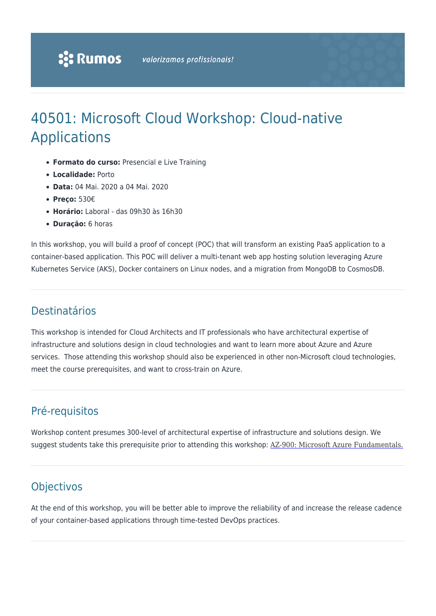# 40501: Microsoft Cloud Workshop: Cloud-native Applications

- **Formato do curso:** Presencial e Live Training
- **Localidade:** Porto
- **Data:** 04 Mai. 2020 a 04 Mai. 2020
- **Preço:** 530€
- **Horário:** Laboral das 09h30 às 16h30
- **Duração:** 6 horas

In this workshop, you will build a proof of concept (POC) that will transform an existing PaaS application to a container-based application. This POC will deliver a multi-tenant web app hosting solution leveraging Azure Kubernetes Service (AKS), Docker containers on Linux nodes, and a migration from MongoDB to CosmosDB.

### Destinatários

This workshop is intended for Cloud Architects and IT professionals who have architectural expertise of infrastructure and solutions design in cloud technologies and want to learn more about Azure and Azure services. Those attending this workshop should also be experienced in other non-Microsoft cloud technologies, meet the course prerequisites, and want to cross-train on Azure.

# Pré-requisitos

Workshop content presumes 300-level of architectural expertise of infrastructure and solutions design. We suggest students take this prerequisite prior to attending this workshop: [AZ-900: Microsoft Azure Fundamentals.](https://rumos.pt/cursos/#/?word=azure%20fundamentals&duration_min=0&duration_max=500&price_min=0&price_max=7000&page=1)

# **Objectivos**

At the end of this workshop, you will be better able to improve the reliability of and increase the release cadence of your container-based applications through time-tested DevOps practices.